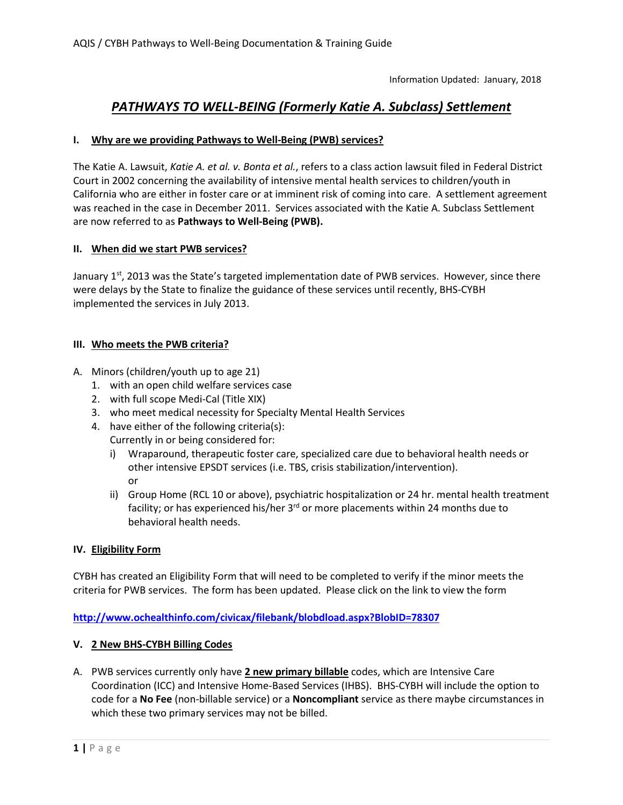## *PATHWAYS TO WELL-BEING (Formerly Katie A. Subclass) Settlement*

## **I. Why are we providing Pathways to Well-Being (PWB) services?**

The Katie A. Lawsuit, *Katie A. et al. v. Bonta et al.*, refers to a class action lawsuit filed in Federal District Court in 2002 concerning the availability of intensive mental health services to children/youth in California who are either in foster care or at imminent risk of coming into care. A settlement agreement was reached in the case in December 2011. Services associated with the Katie A. Subclass Settlement are now referred to as **Pathways to Well-Being (PWB).**

## **II. When did we start PWB services?**

January  $1<sup>st</sup>$ , 2013 was the State's targeted implementation date of PWB services. However, since there were delays by the State to finalize the guidance of these services until recently, BHS-CYBH implemented the services in July 2013.

#### **III. Who meets the PWB criteria?**

- A. Minors (children/youth up to age 21)
	- 1. with an open child welfare services case
	- 2. with full scope Medi-Cal (Title XIX)
	- 3. who meet medical necessity for Specialty Mental Health Services
	- 4. have either of the following criteria(s): Currently in or being considered for:
		- i) Wraparound, therapeutic foster care, specialized care due to behavioral health needs or other intensive EPSDT services (i.e. TBS, crisis stabilization/intervention). or
		- ii) Group Home (RCL 10 or above), psychiatric hospitalization or 24 hr. mental health treatment facility; or has experienced his/her  $3<sup>rd</sup>$  or more placements within 24 months due to behavioral health needs.

#### **IV. Eligibility Form**

CYBH has created an Eligibility Form that will need to be completed to verify if the minor meets the criteria for PWB services. The form has been updated. Please click on the link to view the form

#### **<http://www.ochealthinfo.com/civicax/filebank/blobdload.aspx?BlobID=78307>**

#### **V. 2 New BHS-CYBH Billing Codes**

A. PWB services currently only have **2 new primary billable** codes, which are Intensive Care Coordination (ICC) and Intensive Home-Based Services (IHBS). BHS-CYBH will include the option to code for a **No Fee** (non-billable service) or a **Noncompliant** service as there maybe circumstances in which these two primary services may not be billed.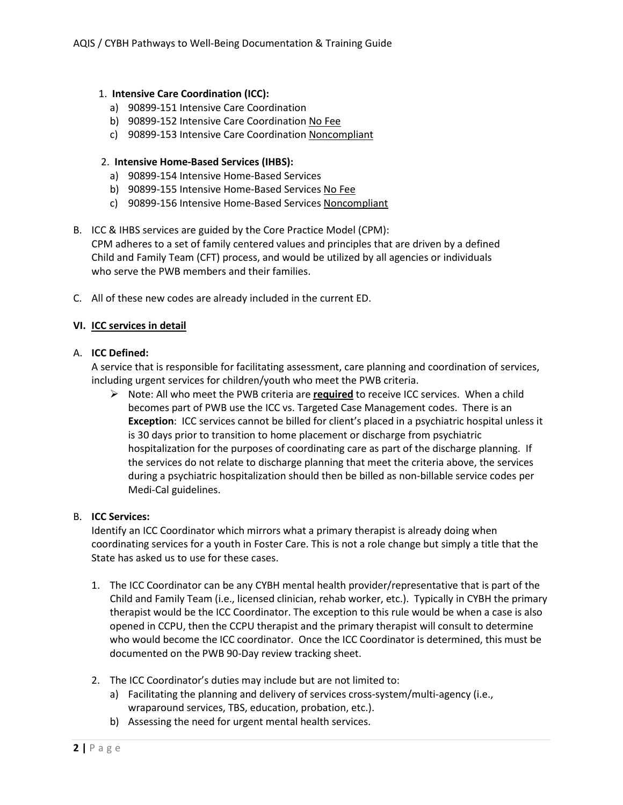#### 1. **Intensive Care Coordination (ICC):**

- a) 90899-151 Intensive Care Coordination
- b) 90899-152 Intensive Care Coordination No Fee
- c) 90899-153 Intensive Care Coordination Noncompliant

#### 2. **Intensive Home-Based Services (IHBS):**

- a) 90899-154 Intensive Home-Based Services
- b) 90899-155 Intensive Home-Based Services No Fee
- c) 90899-156 Intensive Home-Based Services Noncompliant
- B. ICC & IHBS services are guided by the Core Practice Model (CPM): CPM adheres to a set of family centered values and principles that are driven by a defined Child and Family Team (CFT) process, and would be utilized by all agencies or individuals who serve the PWB members and their families.
- C. All of these new codes are already included in the current ED.

#### **VI. ICC services in detail**

#### A. **ICC Defined:**

A service that is responsible for facilitating assessment, care planning and coordination of services, including urgent services for children/youth who meet the PWB criteria.

 Note: All who meet the PWB criteria are **required** to receive ICC services. When a child becomes part of PWB use the ICC vs. Targeted Case Management codes. There is an **Exception**: ICC services cannot be billed for client's placed in a psychiatric hospital unless it is 30 days prior to transition to home placement or discharge from psychiatric hospitalization for the purposes of coordinating care as part of the discharge planning. If the services do not relate to discharge planning that meet the criteria above, the services during a psychiatric hospitalization should then be billed as non-billable service codes per Medi-Cal guidelines.

#### B. **ICC Services:**

Identify an ICC Coordinator which mirrors what a primary therapist is already doing when coordinating services for a youth in Foster Care. This is not a role change but simply a title that the State has asked us to use for these cases.

- 1. The ICC Coordinator can be any CYBH mental health provider/representative that is part of the Child and Family Team (i.e., licensed clinician, rehab worker, etc.). Typically in CYBH the primary therapist would be the ICC Coordinator. The exception to this rule would be when a case is also opened in CCPU, then the CCPU therapist and the primary therapist will consult to determine who would become the ICC coordinator. Once the ICC Coordinator is determined, this must be documented on the PWB 90-Day review tracking sheet.
- 2. The ICC Coordinator's duties may include but are not limited to:
	- a) Facilitating the planning and delivery of services cross-system/multi-agency (i.e., wraparound services, TBS, education, probation, etc.).
	- b) Assessing the need for urgent mental health services.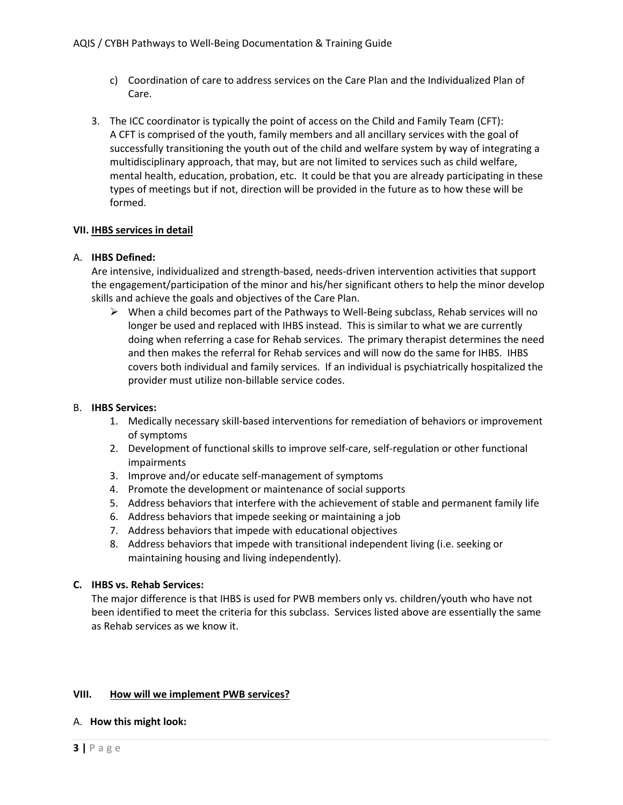- c) Coordination of care to address services on the Care Plan and the Individualized Plan of Care.
- 3. The ICC coordinator is typically the point of access on the Child and Family Team (CFT): A CFT is comprised of the youth, family members and all ancillary services with the goal of successfully transitioning the youth out of the child and welfare system by way of integrating a multidisciplinary approach, that may, but are not limited to services such as child welfare, mental health, education, probation, etc. It could be that you are already participating in these types of meetings but if not, direction will be provided in the future as to how these will be formed.

#### **VII. IHBS services in detail**

#### A. **IHBS Defined:**

Are intensive, individualized and strength-based, needs-driven intervention activities that support the engagement/participation of the minor and his/her significant others to help the minor develop skills and achieve the goals and objectives of the Care Plan.

 $\triangleright$  When a child becomes part of the Pathways to Well-Being subclass, Rehab services will no longer be used and replaced with IHBS instead. This is similar to what we are currently doing when referring a case for Rehab services. The primary therapist determines the need and then makes the referral for Rehab services and will now do the same for IHBS. IHBS covers both individual and family services. If an individual is psychiatrically hospitalized the provider must utilize non-billable service codes.

#### B. **IHBS Services:**

- 1. Medically necessary skill-based interventions for remediation of behaviors or improvement of symptoms
- 2. Development of functional skills to improve self-care, self-regulation or other functional impairments
- 3. Improve and/or educate self-management of symptoms
- 4. Promote the development or maintenance of social supports
- 5. Address behaviors that interfere with the achievement of stable and permanent family life
- 6. Address behaviors that impede seeking or maintaining a job
- 7. Address behaviors that impede with educational objectives
- 8. Address behaviors that impede with transitional independent living (i.e. seeking or maintaining housing and living independently).

#### **C. IHBS vs. Rehab Services:**

The major difference is that IHBS is used for PWB members only vs. children/youth who have not been identified to meet the criteria for this subclass. Services listed above are essentially the same as Rehab services as we know it.

#### **VIII. How will we implement PWB services?**

#### A. **How this might look:**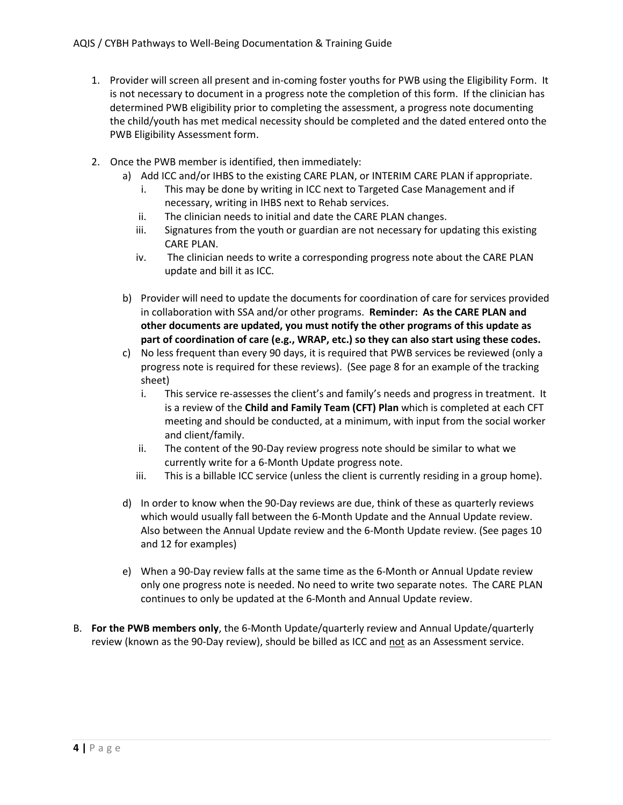- 1. Provider will screen all present and in-coming foster youths for PWB using the Eligibility Form. It is not necessary to document in a progress note the completion of this form. If the clinician has determined PWB eligibility prior to completing the assessment, a progress note documenting the child/youth has met medical necessity should be completed and the dated entered onto the PWB Eligibility Assessment form.
- 2. Once the PWB member is identified, then immediately:
	- a) Add ICC and/or IHBS to the existing CARE PLAN, or INTERIM CARE PLAN if appropriate.
		- i. This may be done by writing in ICC next to Targeted Case Management and if necessary, writing in IHBS next to Rehab services.
		- ii. The clinician needs to initial and date the CARE PLAN changes.
		- iii. Signatures from the youth or guardian are not necessary for updating this existing CARE PLAN.
		- iv. The clinician needs to write a corresponding progress note about the CARE PLAN update and bill it as ICC.
	- b) Provider will need to update the documents for coordination of care for services provided in collaboration with SSA and/or other programs. **Reminder: As the CARE PLAN and other documents are updated, you must notify the other programs of this update as part of coordination of care (e.g., WRAP, etc.) so they can also start using these codes.**
	- c) No less frequent than every 90 days, it is required that PWB services be reviewed (only a progress note is required for these reviews). (See page 8 for an example of the tracking sheet)
		- i. This service re-assesses the client's and family's needs and progress in treatment. It is a review of the **Child and Family Team (CFT) Plan** which is completed at each CFT meeting and should be conducted, at a minimum, with input from the social worker and client/family.
		- ii. The content of the 90-Day review progress note should be similar to what we currently write for a 6-Month Update progress note.
		- iii. This is a billable ICC service (unless the client is currently residing in a group home).
	- d) In order to know when the 90-Day reviews are due, think of these as quarterly reviews which would usually fall between the 6-Month Update and the Annual Update review. Also between the Annual Update review and the 6-Month Update review. (See pages 10 and 12 for examples)
	- e) When a 90-Day review falls at the same time as the 6-Month or Annual Update review only one progress note is needed. No need to write two separate notes. The CARE PLAN continues to only be updated at the 6-Month and Annual Update review.
- B. **For the PWB members only**, the 6-Month Update/quarterly review and Annual Update/quarterly review (known as the 90-Day review), should be billed as ICC and not as an Assessment service.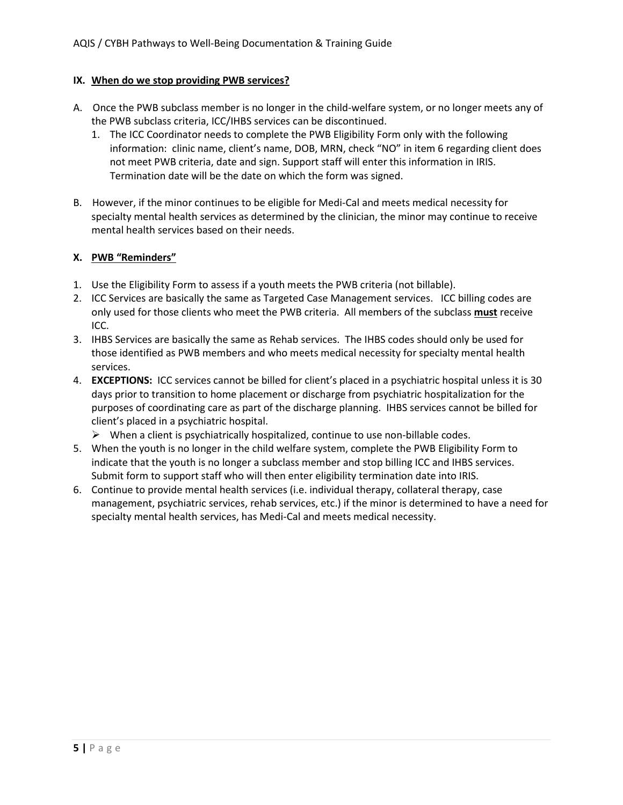#### **IX. When do we stop providing PWB services?**

- A. Once the PWB subclass member is no longer in the child-welfare system, or no longer meets any of the PWB subclass criteria, ICC/IHBS services can be discontinued.
	- 1. The ICC Coordinator needs to complete the PWB Eligibility Form only with the following information: clinic name, client's name, DOB, MRN, check "NO" in item 6 regarding client does not meet PWB criteria, date and sign. Support staff will enter this information in IRIS. Termination date will be the date on which the form was signed.
- B. However, if the minor continues to be eligible for Medi-Cal and meets medical necessity for specialty mental health services as determined by the clinician, the minor may continue to receive mental health services based on their needs.

## **X. PWB "Reminders"**

- 1. Use the Eligibility Form to assess if a youth meets the PWB criteria (not billable).
- 2. ICC Services are basically the same as Targeted Case Management services. ICC billing codes are only used for those clients who meet the PWB criteria. All members of the subclass **must** receive ICC.
- 3. IHBS Services are basically the same as Rehab services. The IHBS codes should only be used for those identified as PWB members and who meets medical necessity for specialty mental health services.
- 4. **EXCEPTIONS:** ICC services cannot be billed for client's placed in a psychiatric hospital unless it is 30 days prior to transition to home placement or discharge from psychiatric hospitalization for the purposes of coordinating care as part of the discharge planning. IHBS services cannot be billed for client's placed in a psychiatric hospital.
	- $\triangleright$  When a client is psychiatrically hospitalized, continue to use non-billable codes.
- 5. When the youth is no longer in the child welfare system, complete the PWB Eligibility Form to indicate that the youth is no longer a subclass member and stop billing ICC and IHBS services. Submit form to support staff who will then enter eligibility termination date into IRIS.
- 6. Continue to provide mental health services (i.e. individual therapy, collateral therapy, case management, psychiatric services, rehab services, etc.) if the minor is determined to have a need for specialty mental health services, has Medi-Cal and meets medical necessity.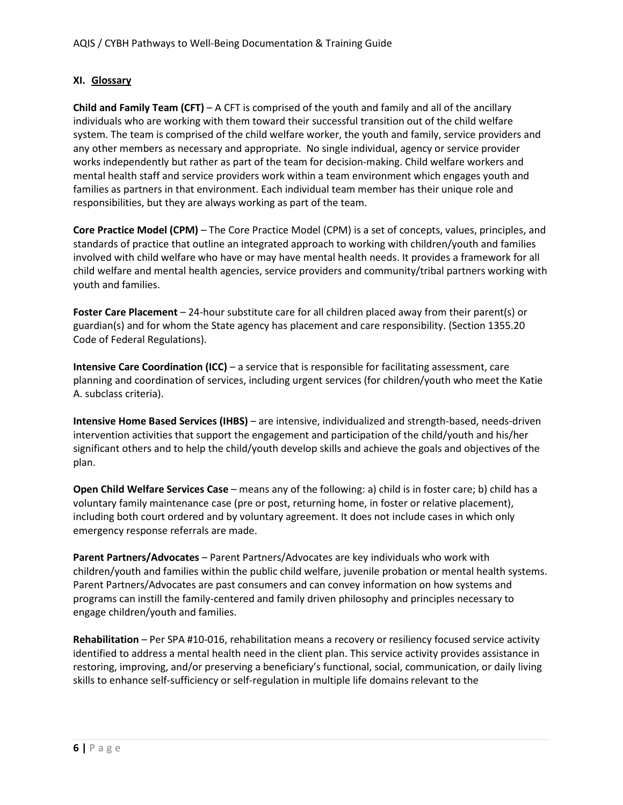## **XI. Glossary**

**Child and Family Team (CFT)** – A CFT is comprised of the youth and family and all of the ancillary individuals who are working with them toward their successful transition out of the child welfare system. The team is comprised of the child welfare worker, the youth and family, service providers and any other members as necessary and appropriate. No single individual, agency or service provider works independently but rather as part of the team for decision-making. Child welfare workers and mental health staff and service providers work within a team environment which engages youth and families as partners in that environment. Each individual team member has their unique role and responsibilities, but they are always working as part of the team.

**Core Practice Model (CPM)** – The Core Practice Model (CPM) is a set of concepts, values, principles, and standards of practice that outline an integrated approach to working with children/youth and families involved with child welfare who have or may have mental health needs. It provides a framework for all child welfare and mental health agencies, service providers and community/tribal partners working with youth and families.

**Foster Care Placement** – 24-hour substitute care for all children placed away from their parent(s) or guardian(s) and for whom the State agency has placement and care responsibility. (Section 1355.20 Code of Federal Regulations).

**Intensive Care Coordination (ICC)** – a service that is responsible for facilitating assessment, care planning and coordination of services, including urgent services (for children/youth who meet the Katie A. subclass criteria).

**Intensive Home Based Services (IHBS)** – are intensive, individualized and strength-based, needs-driven intervention activities that support the engagement and participation of the child/youth and his/her significant others and to help the child/youth develop skills and achieve the goals and objectives of the plan.

**Open Child Welfare Services Case** – means any of the following: a) child is in foster care; b) child has a voluntary family maintenance case (pre or post, returning home, in foster or relative placement), including both court ordered and by voluntary agreement. It does not include cases in which only emergency response referrals are made.

**Parent Partners/Advocates** – Parent Partners/Advocates are key individuals who work with children/youth and families within the public child welfare, juvenile probation or mental health systems. Parent Partners/Advocates are past consumers and can convey information on how systems and programs can instill the family-centered and family driven philosophy and principles necessary to engage children/youth and families.

**Rehabilitation** – Per SPA #10-016, rehabilitation means a recovery or resiliency focused service activity identified to address a mental health need in the client plan. This service activity provides assistance in restoring, improving, and/or preserving a beneficiary's functional, social, communication, or daily living skills to enhance self-sufficiency or self-regulation in multiple life domains relevant to the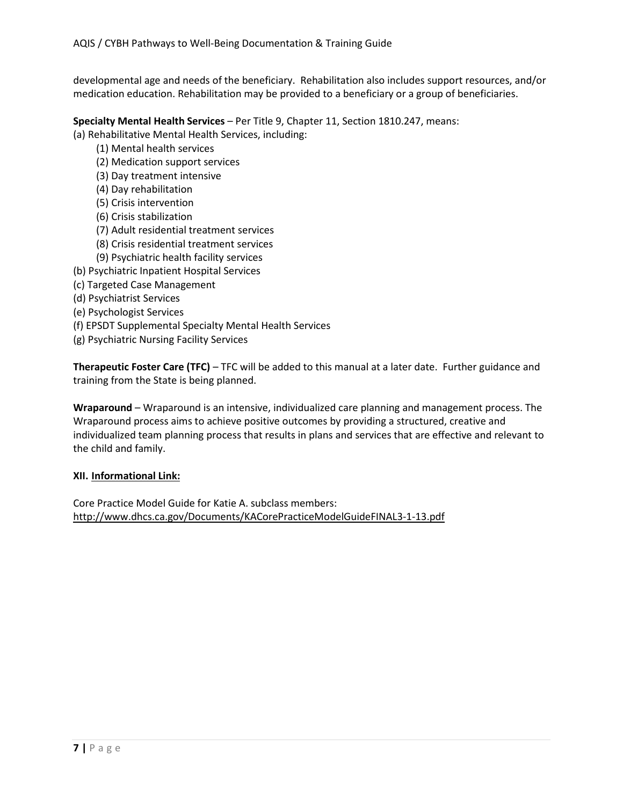developmental age and needs of the beneficiary. Rehabilitation also includes support resources, and/or medication education. Rehabilitation may be provided to a beneficiary or a group of beneficiaries.

**Specialty Mental Health Services** – Per Title 9, Chapter 11, Section 1810.247, means: (a) Rehabilitative Mental Health Services, including:

- (1) Mental health services
- (2) Medication support services
- (3) Day treatment intensive
- (4) Day rehabilitation
- (5) Crisis intervention
- (6) Crisis stabilization
- (7) Adult residential treatment services
- (8) Crisis residential treatment services
- (9) Psychiatric health facility services
- (b) Psychiatric Inpatient Hospital Services
- (c) Targeted Case Management
- (d) Psychiatrist Services
- (e) Psychologist Services
- (f) EPSDT Supplemental Specialty Mental Health Services
- (g) Psychiatric Nursing Facility Services

**Therapeutic Foster Care (TFC)** – TFC will be added to this manual at a later date. Further guidance and training from the State is being planned.

**Wraparound** – Wraparound is an intensive, individualized care planning and management process. The Wraparound process aims to achieve positive outcomes by providing a structured, creative and individualized team planning process that results in plans and services that are effective and relevant to the child and family.

## **XII. Informational Link:**

Core Practice Model Guide for Katie A. subclass members: http://www.dhcs.ca.gov/Documents/KACorePracticeModelGuideFINAL3-1-13.pdf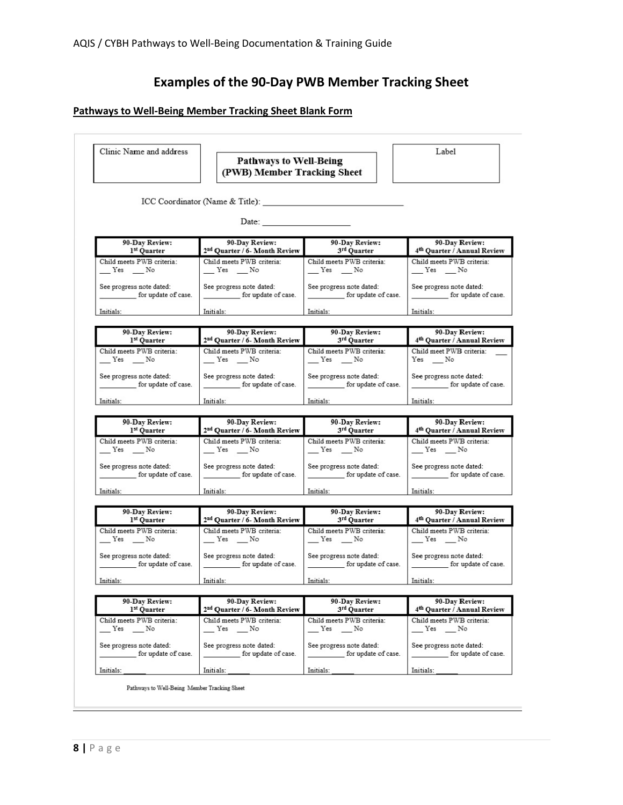# **Examples of the 90-Day PWB Member Tracking Sheet**

## **Pathways to Well-Being Member Tracking Sheet Blank Form**

| Clinic Name and address                                                                                                                                                                                                        | <b>Pathways to Well-Being</b><br>(PWB) Member Tracking Sheet                                                                                                                                                                   |                                                                                                                                                                                                                                | Label                                                                            |  |
|--------------------------------------------------------------------------------------------------------------------------------------------------------------------------------------------------------------------------------|--------------------------------------------------------------------------------------------------------------------------------------------------------------------------------------------------------------------------------|--------------------------------------------------------------------------------------------------------------------------------------------------------------------------------------------------------------------------------|----------------------------------------------------------------------------------|--|
|                                                                                                                                                                                                                                |                                                                                                                                                                                                                                |                                                                                                                                                                                                                                |                                                                                  |  |
|                                                                                                                                                                                                                                | Date: $\frac{1}{2}$                                                                                                                                                                                                            |                                                                                                                                                                                                                                |                                                                                  |  |
| 90-Day Review:                                                                                                                                                                                                                 | 90-Day Review:                                                                                                                                                                                                                 | 90-Day Review:                                                                                                                                                                                                                 | 90-Day Review:                                                                   |  |
| 1 <sup>st</sup> Quarter                                                                                                                                                                                                        | 2 <sup>nd</sup> Quarter / 6- Month Review                                                                                                                                                                                      | 90-Day Review<br>3 <sup>rd</sup> Quarter                                                                                                                                                                                       | 4 <sup>th</sup> Quarter / Annual Review                                          |  |
| Child meets PWB criteria:                                                                                                                                                                                                      | Child meets PWB criteria:                                                                                                                                                                                                      | Child meets PWB criteria:                                                                                                                                                                                                      | Child meets PWB criteria:                                                        |  |
| $Y$ es $N$ o                                                                                                                                                                                                                   | $Yes$ No                                                                                                                                                                                                                       | $Yes$ No                                                                                                                                                                                                                       | $Yes$ No                                                                         |  |
| See progress note dated:                                                                                                                                                                                                       | See progress note dated:                                                                                                                                                                                                       | See progress note dated:                                                                                                                                                                                                       | See progress note dated:                                                         |  |
| for update of case.                                                                                                                                                                                                            | for update of case.                                                                                                                                                                                                            |                                                                                                                                                                                                                                | _______________ for update of case.                                              |  |
| Initials:                                                                                                                                                                                                                      | Initials:                                                                                                                                                                                                                      | Initials:                                                                                                                                                                                                                      | Initials:                                                                        |  |
| 90-Day Review:                                                                                                                                                                                                                 | 90-Day Review:                                                                                                                                                                                                                 | 90-Day Review:<br>3rd Quarter                                                                                                                                                                                                  | 90-Day Review:                                                                   |  |
| 1st Quarter                                                                                                                                                                                                                    | 2 <sup>nd</sup> Quarter / 6- Month Review                                                                                                                                                                                      |                                                                                                                                                                                                                                | 4 <sup>th</sup> Quarter / Annual Review                                          |  |
| Child meets PWB criteria:                                                                                                                                                                                                      | Child meets PWB criteria:                                                                                                                                                                                                      | Child meets PWB criteria:                                                                                                                                                                                                      | Child meet PWB criteria:                                                         |  |
| $Yes$ No                                                                                                                                                                                                                       | $Yes = No$                                                                                                                                                                                                                     | $Yes$ No                                                                                                                                                                                                                       | $Yes \t_{No}$                                                                    |  |
| See progress note dated:                                                                                                                                                                                                       | See progress note dated:                                                                                                                                                                                                       | See progress note dated:                                                                                                                                                                                                       | See progress note dated:                                                         |  |
| for update of case.                                                                                                                                                                                                            | for update of case.                                                                                                                                                                                                            | for update of case.                                                                                                                                                                                                            | for update of case.                                                              |  |
| Initials: The Contract of the Contract of the Contract of the Contract of the Contract of the Contract of the Contract of the Contract of the Contract of the Contract of the Contract of the Contract of the Contract of the  | Initials: The Company of the Company of the Company of the Company of the Company of the Company of the Company of the Company of the Company of the Company of the Company of the Company of the Company of the Company of th | Initials: The Company of the Company of the Company of the Company of the Company of the Company of the Company of the Company of the Company of the Company of the Company of the Company of the Company of the Company of th | Initials:                                                                        |  |
| 90-Day Review:                                                                                                                                                                                                                 | 90-Day Review:                                                                                                                                                                                                                 | 90-Day Review:                                                                                                                                                                                                                 | 90-Day Review:                                                                   |  |
| 1st Quarter                                                                                                                                                                                                                    | 2 <sup>nd</sup> Quarter / 6- Month Review                                                                                                                                                                                      | 90-Day Review<br>3rd Quarter                                                                                                                                                                                                   | 4 <sup>th</sup> Quarter / Annual Review                                          |  |
| Child meets PWB criteria:                                                                                                                                                                                                      | Child meets PWB criteria:                                                                                                                                                                                                      | Child meets PWB criteria:                                                                                                                                                                                                      | Child meets PWB criteria:                                                        |  |
| $Y$ es $N$ o                                                                                                                                                                                                                   | $Yes$ No                                                                                                                                                                                                                       | $Y$ es $N$ o                                                                                                                                                                                                                   | $Y$ es $N$ o                                                                     |  |
| See progress note dated:                                                                                                                                                                                                       | See progress note dated:                                                                                                                                                                                                       | See progress note dated:                                                                                                                                                                                                       | See progress note dated:                                                         |  |
| for update of case.                                                                                                                                                                                                            | for update of case.                                                                                                                                                                                                            | for update of case.                                                                                                                                                                                                            | for update of case.                                                              |  |
| Initials:                                                                                                                                                                                                                      | Initials:                                                                                                                                                                                                                      | Initials:                                                                                                                                                                                                                      | Initials:                                                                        |  |
|                                                                                                                                                                                                                                |                                                                                                                                                                                                                                |                                                                                                                                                                                                                                |                                                                                  |  |
| 90-Day Review:                                                                                                                                                                                                                 |                                                                                                                                                                                                                                |                                                                                                                                                                                                                                | 90-Day Review:                                                                   |  |
| 1 <sup>st</sup> Quarter                                                                                                                                                                                                        | 90-Day Review:<br>2 <sup>nd</sup> Quarter / 6- Month Review                                                                                                                                                                    | 90-Day Review:<br>3rd Quarter                                                                                                                                                                                                  |                                                                                  |  |
| Child meets PWB criteria:<br>$Yes$ No                                                                                                                                                                                          | Child meets PWB criteria:<br>$Yes$ No                                                                                                                                                                                          | Child meets PWB criteria:<br>$Yes$ No                                                                                                                                                                                          | 4 <sup>th</sup> Quarter / Annual Review<br>Child meets PWB criteria:<br>$Yes$ No |  |
| See progress note dated:                                                                                                                                                                                                       | See progress note dated:                                                                                                                                                                                                       | See progress note dated:                                                                                                                                                                                                       | See progress note dated:                                                         |  |
| for update of case.                                                                                                                                                                                                            | for update of case.                                                                                                                                                                                                            | for update of case.                                                                                                                                                                                                            |                                                                                  |  |
| Initials: The control of the control of the control of the control of the control of the control of the control of the control of the control of the control of the control of the control of the control of the control of th | Initials: The Contract of the Contract of the Contract of the Contract of the Contract of the Contract of the Contract of the Contract of the Contract of the Contract of the Contract of the Contract of the Contract of the  | Initials:                                                                                                                                                                                                                      | for update of case.<br>Initials:                                                 |  |
|                                                                                                                                                                                                                                |                                                                                                                                                                                                                                |                                                                                                                                                                                                                                |                                                                                  |  |
| 90-Day Review:                                                                                                                                                                                                                 | 90-Day Review:                                                                                                                                                                                                                 | 90-Day Review:                                                                                                                                                                                                                 | 90-Day Review:                                                                   |  |
| 1st Quarter                                                                                                                                                                                                                    | 2 <sup>nd</sup> Quarter / 6- Month Review                                                                                                                                                                                      | 3rd Quarter                                                                                                                                                                                                                    | 4 <sup>th</sup> Quarter / Annual Review                                          |  |
| Child meets PWB criteria:                                                                                                                                                                                                      | Child meets PWB criteria:                                                                                                                                                                                                      | Child meets PWB criteria:                                                                                                                                                                                                      | Child meets PWB criteria:                                                        |  |
| $Y$ es $N$ o                                                                                                                                                                                                                   | $Yes$ No                                                                                                                                                                                                                       | $Yes$ $No$                                                                                                                                                                                                                     | $Y$ es $N$ o                                                                     |  |
| See progress note dated:                                                                                                                                                                                                       | See progress note dated:                                                                                                                                                                                                       | See progress note dated:                                                                                                                                                                                                       | See progress note dated:                                                         |  |
| for update of case.                                                                                                                                                                                                            | for update of case.                                                                                                                                                                                                            | for update of case.                                                                                                                                                                                                            | for update of case.                                                              |  |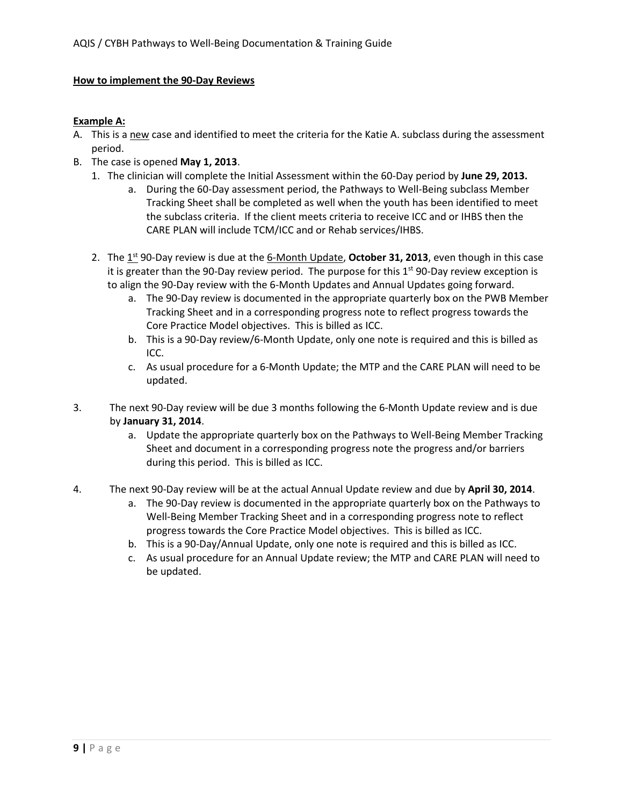#### **How to implement the 90-Day Reviews**

#### **Example A:**

- A. This is a new case and identified to meet the criteria for the Katie A. subclass during the assessment period.
- B. The case is opened **May 1, 2013**.
	- 1. The clinician will complete the Initial Assessment within the 60-Day period by **June 29, 2013.**
		- a. During the 60-Day assessment period, the Pathways to Well-Being subclass Member Tracking Sheet shall be completed as well when the youth has been identified to meet the subclass criteria. If the client meets criteria to receive ICC and or IHBS then the CARE PLAN will include TCM/ICC and or Rehab services/IHBS.
	- 2. The 1<sup>st</sup> 90-Day review is due at the 6-Month Update, **October 31, 2013**, even though in this case it is greater than the 90-Day review period. The purpose for this  $1<sup>st</sup>$  90-Day review exception is to align the 90-Day review with the 6-Month Updates and Annual Updates going forward.
		- a. The 90-Day review is documented in the appropriate quarterly box on the PWB Member Tracking Sheet and in a corresponding progress note to reflect progress towards the Core Practice Model objectives. This is billed as ICC.
		- b. This is a 90-Day review/6-Month Update, only one note is required and this is billed as ICC.
		- c. As usual procedure for a 6-Month Update; the MTP and the CARE PLAN will need to be updated.
- 3. The next 90-Day review will be due 3 months following the 6-Month Update review and is due by **January 31, 2014**.
	- a. Update the appropriate quarterly box on the Pathways to Well-Being Member Tracking Sheet and document in a corresponding progress note the progress and/or barriers during this period. This is billed as ICC.
- 4. The next 90-Day review will be at the actual Annual Update review and due by **April 30, 2014**.
	- a. The 90-Day review is documented in the appropriate quarterly box on the Pathways to Well-Being Member Tracking Sheet and in a corresponding progress note to reflect progress towards the Core Practice Model objectives. This is billed as ICC.
	- b. This is a 90-Day/Annual Update, only one note is required and this is billed as ICC.
	- c. As usual procedure for an Annual Update review; the MTP and CARE PLAN will need to be updated.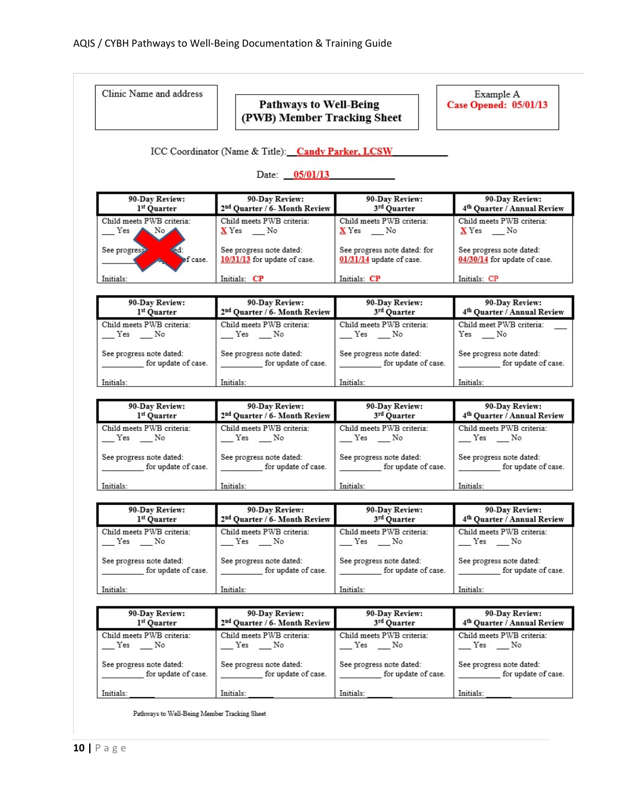| Clinic Name and address                                         | <b>Pathways to Well-Being</b><br>(PWB) Member Tracking Sheet |                                                          | Example A<br><b>Case Opened: 05/01/13</b>                 |  |
|-----------------------------------------------------------------|--------------------------------------------------------------|----------------------------------------------------------|-----------------------------------------------------------|--|
|                                                                 | ICC Coordinator (Name & Title): Candy Parker, LCSW           |                                                          |                                                           |  |
| Date: $05/01/13$                                                |                                                              |                                                          |                                                           |  |
| 90-Day Review:<br>1st Quarter                                   | 90-Day Review:<br>2 <sup>nd</sup> Quarter / 6- Month Review  | 90-Day Review:<br>3rd Quarter                            | 90-Day Review:<br>4th Quarter / Annual Review             |  |
| Child meets PWB criteria:<br>Yes A<br>$\blacktriangleright$ No. | Child meets PWB criteria:<br>$X$ Yes ___ No                  | Child meets PWB criteria:<br>$X$ Yes ___ No              | Child meets PWB criteria:<br>$X$ Yes __No                 |  |
| See progress<br>of case.                                        | See progress note dated:<br>10/31/13 for update of case.     | See progress note dated: for<br>01/31/14 update of case. | See progress note dated:<br>04/30/14 for update of case.  |  |
| Initials:                                                       | Initials: CP                                                 | Initials: CP                                             | Initials: CP                                              |  |
| 90-Day Review:<br>1st Ouarter                                   | 90-Day Review:<br>2 <sup>nd</sup> Quarter / 6- Month Review  | 90-Day Review:<br>3rd Quarter                            | 90-Day Review:<br>4 <sup>th</sup> Quarter / Annual Review |  |
| Child meets PWB criteria:<br>$Y$ es $N$ o                       | Child meets PWB criteria:<br>$Yes$ No                        | Child meets PWB criteria:<br>$Yes$ No                    | Child meet PWB criteria:<br>$Yes \t\t\t No$               |  |
| See progress note dated:<br>for update of case.                 | See progress note dated:<br>for update of case.              | See progress note dated:<br>for update of case.          | See progress note dated:<br>for update of case.           |  |
| Initials:                                                       | Initials:                                                    | Initials:                                                | Initials:                                                 |  |
|                                                                 |                                                              |                                                          |                                                           |  |
| 90-Day Review:                                                  | 90-Day Review:                                               | 90-Day Review:                                           | 90-Day Review:                                            |  |
| 1st Quarter                                                     | 2 <sup>nd</sup> Quarter / 6- Month Review                    | 90-Day Review<br>3rd Quarter                             | 4 <sup>th</sup> Quarter / Annual Review                   |  |
| Child meets PWB criteria:<br>Yes No                             | Child meets PWB criteria:<br>Yes No                          | Child meets PWB criteria:<br>Yes No                      | Child meets PWB criteria:<br>Yes No                       |  |
| See progress note dated:<br>for update of case.                 | See progress note dated:<br>for update of case.              | See progress note dated:<br>for update of case.          | See progress note dated:<br>for update of case.           |  |
| Initials:                                                       | Initials: 1999                                               | Initials:                                                | Initials:                                                 |  |
| 90-Day Review:<br>1st Quarter                                   | 90-Day Review:<br>2 <sup>nd</sup> Quarter / 6- Month Review  | 90-Day Review:                                           | 90-Day Review:<br>4 <sup>th</sup> Quarter / Annual Review |  |
| Child meets PWB criteria:<br>Yes No                             | Child meets PWB criteria:<br>Yes No                          | 3rd Quarter<br>Child meets PWB criteria:<br>Yes No       | Child meets PWB criteria:<br>Yes No                       |  |
| See progress note dated:<br>for update of case.                 | See progress note dated:<br>for update of case.              | See progress note dated:<br>for update of case.          | See progress note dated:<br>for update of case.           |  |
| Initials:                                                       | Initials:                                                    | Initials:                                                | Initials:                                                 |  |
|                                                                 |                                                              |                                                          |                                                           |  |
| 90-Day Review:<br>1st Quarter                                   | 90-Day Review:<br>2 <sup>nd</sup> Quarter / 6- Month Review  | 90-Day Review:<br>3rd Quarter                            | 90-Day Review:<br>4 <sup>th</sup> Quarter / Annual Review |  |
| Child meets PWB criteria:<br>Yes No                             | Child meets PWB criteria:<br>$Yes$ No                        | Child meets PWB criteria:<br>$Yes$ No                    | Child meets PWB criteria:<br>$Yes$ No                     |  |
| See progress note dated:<br>for update of case.                 | See progress note dated:<br>for update of case.              | See progress note dated:<br>for update of case.          | See progress note dated:<br>for update of case.           |  |

Pathways to Well-Being Member Tracking Sheet